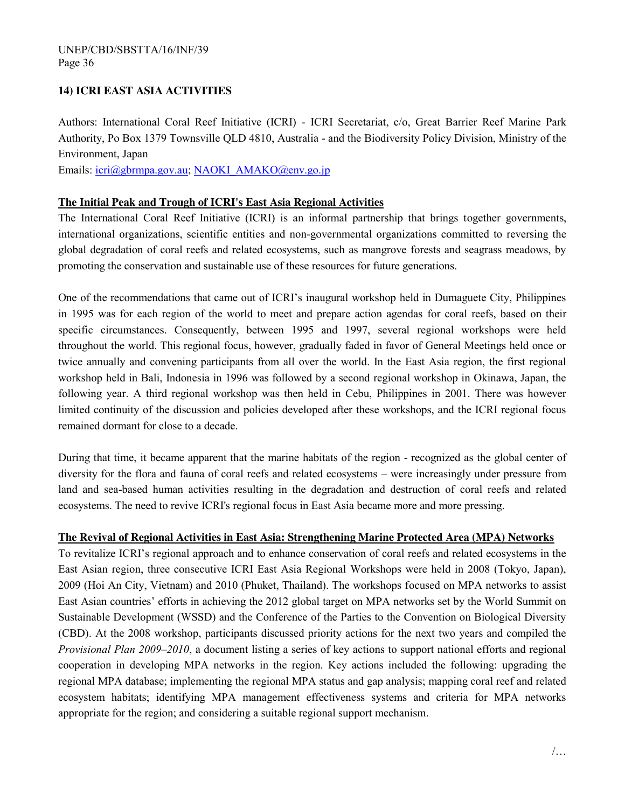## **14) ICRI EAST ASIA ACTIVITIES**

Authors: International Coral Reef Initiative (ICRI) - ICRI Secretariat, c/o, Great Barrier Reef Marine Park Authority, Po Box 1379 Townsville QLD 4810, Australia - and the Biodiversity Policy Division, Ministry of the Environment, Japan

Emails: [icri@gbrmpa.gov.au;](mailto:icri@gbrmpa.gov.au) [NAOKI\\_AMAKO@env.go.jp](mailto:NAOKI_AMAKO@env.go.jp)

## **The Initial Peak and Trough of ICRI's East Asia Regional Activities**

The International Coral Reef Initiative (ICRI) is an informal partnership that brings together governments, international organizations, scientific entities and non-governmental organizations committed to reversing the global degradation of coral reefs and related ecosystems, such as mangrove forests and seagrass meadows, by promoting the conservation and sustainable use of these resources for future generations.

One of the recommendations that came out of ICRI's inaugural workshop held in Dumaguete City, Philippines in 1995 was for each region of the world to meet and prepare action agendas for coral reefs, based on their specific circumstances. Consequently, between 1995 and 1997, several regional workshops were held throughout the world. This regional focus, however, gradually faded in favor of General Meetings held once or twice annually and convening participants from all over the world. In the East Asia region, the first regional workshop held in Bali, Indonesia in 1996 was followed by a second regional workshop in Okinawa, Japan, the following year. A third regional workshop was then held in Cebu, Philippines in 2001. There was however limited continuity of the discussion and policies developed after these workshops, and the ICRI regional focus remained dormant for close to a decade.

During that time, it became apparent that the marine habitats of the region - recognized as the global center of diversity for the flora and fauna of coral reefs and related ecosystems – were increasingly under pressure from land and sea-based human activities resulting in the degradation and destruction of coral reefs and related ecosystems. The need to revive ICRI's regional focus in East Asia became more and more pressing.

## **The Revival of Regional Activities in East Asia: Strengthening Marine Protected Area (MPA) Networks**

To revitalize ICRI's regional approach and to enhance conservation of coral reefs and related ecosystems in the East Asian region, three consecutive ICRI East Asia Regional Workshops were held in 2008 (Tokyo, Japan), 2009 (Hoi An City, Vietnam) and 2010 (Phuket, Thailand). The workshops focused on MPA networks to assist East Asian countries' efforts in achieving the 2012 global target on MPA networks set by the World Summit on Sustainable Development (WSSD) and the Conference of the Parties to the Convention on Biological Diversity (CBD). At the 2008 workshop, participants discussed priority actions for the next two years and compiled the *Provisional Plan 2009‒2010*, a document listing a series of key actions to support national efforts and regional cooperation in developing MPA networks in the region. Key actions included the following: upgrading the regional MPA database; implementing the regional MPA status and gap analysis; mapping coral reef and related ecosystem habitats; identifying MPA management effectiveness systems and criteria for MPA networks appropriate for the region; and considering a suitable regional support mechanism.